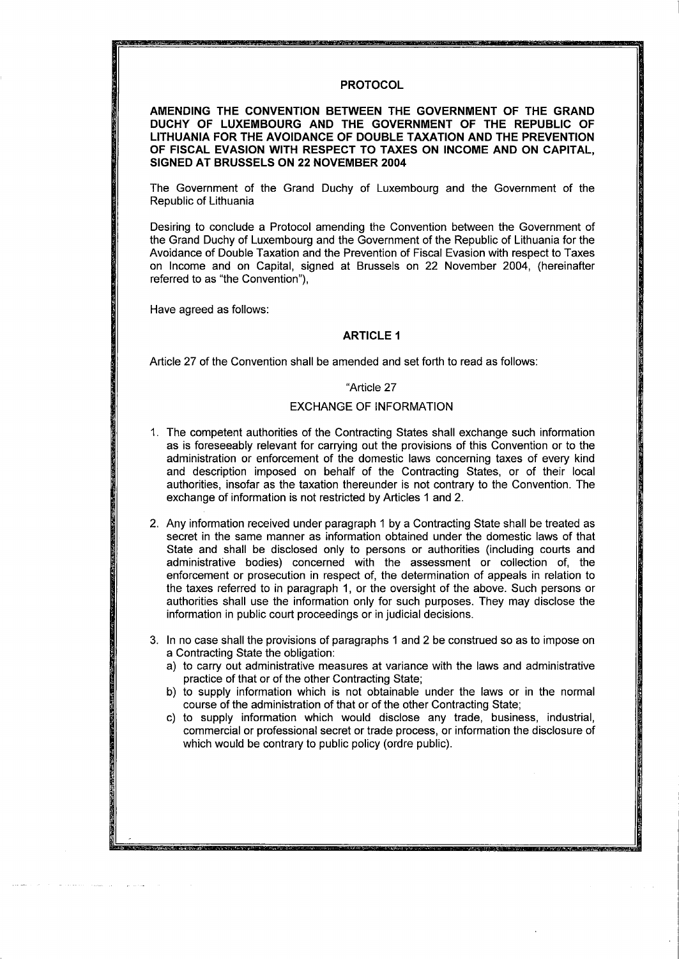# **PROTOCOL**

**AMENDING THE CONVENTION BETWEEN THE GOVERNMENT OF THE GRAND DUCHY OF LUXEMBOURG AND THE GOVERNMENT OF THE REPUBLIC OF LITHUANIA FOR THE AVOIDANCE OF DOUBLE TAXATION AND THE PREVENTION OF FISCAL EVASION WITH RESPECT TO TAXES ON INCOME AND ON CAPITAL, SIGNED AT BRUSSELS ON 22 NOVEMBER 2004** 

The Government of the Grand Duchy of Luxembourg and the Government of the Republic of Lithuania

Desiring to conclude a Protocol amending the Convention between the Government of the Grand Duchy of Luxembourg and the Government of the Republic of Lithuania for the Avoidance of Double Taxation and the Prevention of Fiscal Evasion with respect to Taxes on Income and on Capital, signed at Brussels on 22 November 2004, (hereinafter referred to as "the Convention"),

Have agreed as follows:

### **ARTICLE 1**

Article 27 of the Convention shall be amended and set forth to read as follows:

#### "Article 27

## EXCHANGE OF INFORMATION

- 1. The competent authorities of the Contracting States shall exchange such information as is foreseeably relevant for carrying out the provisions of this Convention or to the administration or enforcement of the domestic laws concerning taxes of every kind and description imposed on behalf of the Contracting States, or of their local authorities, insofar as the taxation thereunder is not contrary to the Convention. The exchange of information is not restricted by Articles 1 and 2.
- 2. Any information received under paragraph 1 by a Contracting State shall be treated as secret in the same manner as information obtained under the domestic laws of that State and shall be disclosed only to persons or authorities (including courts and administrative bodies) concerned with the assessment or collection of, the enforcement or prosecution in respect of, the determination of appeals in relation to the taxes referred to in paragraph 1, or the oversight of the above. Such persons or authorities shall use the information only for such purposes. They may disclose the information in public court proceedings or in judicial decisions.
- 3. In no case shall the provisions of paragraphs 1 and 2 be construed so as to impose on a Contracting State the obligation:
	- a) to carry out administrative measures at variance with the laws and administrative practice of that or of the other Contracting State;
	- b) to supply information which is not obtainable under the laws or in the normal course of the administration of that or of the other Contracting State;
	- c) to supply information which would disclose any trade, business, industrial, commercial or professional secret or trade process, or information the disclosure of which would be contrary to public policy (ordre public).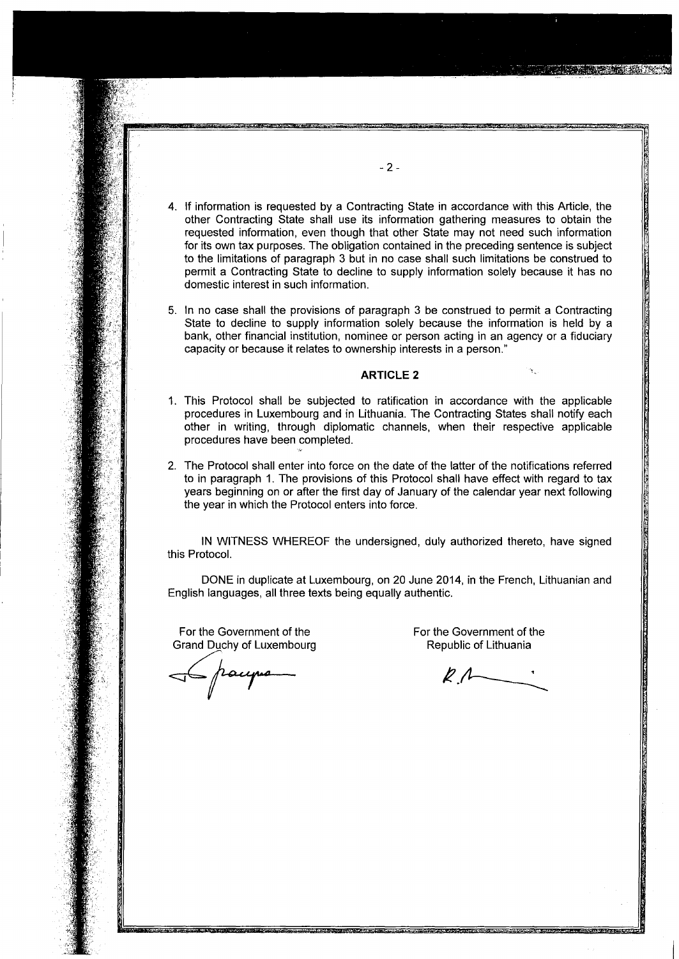- 4. If information is requested by a Contracting State in accordance with this Article, the other Contracting State shall use its information gathering measures to obtain the requested information, even though that other State may not need such information for its own tax purposes. The obligation contained in the preceding sentence is subject to the limitations of paragraph 3 but in no case shall such limitations be construed to permit a Contracting State to decline to supply information solely because it has no domestic interest in such information.
- 5. In no case shall the provisions of paragraph 3 be construed to permit a Contracting State to decline to supply information solely because the information is held by a bank, other financial institution, nominee or person acting in an agency or a fiduciary capacity or because it relates to ownership interests in a person."

#### **ARTICLE 2**

- 1. This Protocol shall be subjected to ratification in accordance with the applicable procedures in Luxembourg and in Lithuania. The Contracting States shall notify each other in writing, through diplomatic channels, when their respective applicable procedures have been completed.
- 2. The Protocol shall enter into force on the date of the latter of the notifications referred to in paragraph 1. The provisions of this Protocol shall have effect with regard to tax years beginning on or after the first day of January of the calendar year next following the year in which the Protocol enters into force.

IN WITNESS WHEREOF the undersigned, duly authorized thereto, have signed this Protocol.

DONE in duplicate at Luxembourg, on 20 June 2014, in the French, Lithuanian and English languages, all three texts being equally authentic.

For the Government of the For the Government of the For the Government of the For the Government of the For the Government of the Source of Lithuania Grand Duchy of Luxembourg

 $R_{1}$ 

a. \_